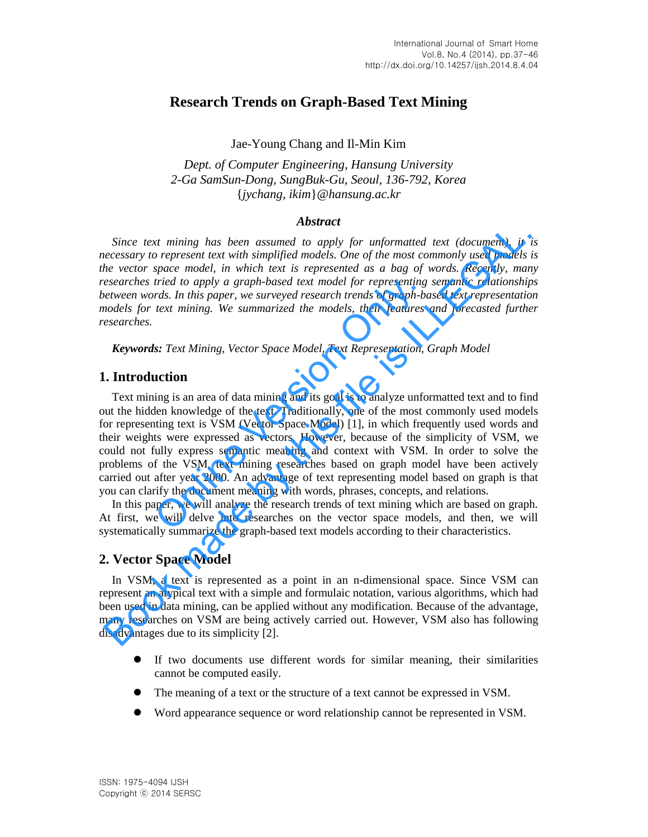# **Research Trends on Graph-Based Text Mining**

Jae-Young Chang and Il-Min Kim

*Dept. of Computer Engineering, Hansung University 2-Ga SamSun-Dong, SungBuk-Gu, Seoul, 136-792, Korea*  {*jychang, ikim*}*@hansung.ac.kr* 

## *Abstract*

*Since text mining has been assumed to apply for unformatted text (document), it is necessary to represent text with simplified models. One of the most commonly used models is the vector space model, in which text is represented as a bag of words. Recently, many researches tried to apply a graph-based text model for representing semantic relationships between words. In this paper, we surveyed research trends of graph-based text representation models for text mining. We summarized the models, their features and forecasted further researches.* 

*Keywords: Text Mining, Vector Space Model, Text Representation, Graph Model* 

## **1. Introduction**

Text mining is an area of data mining and its goal is to analyze unformatted text and to find out the hidden knowledge of the text. Traditionally, one of the most commonly used models for representing text is VSM (Vector Space Model) [1], in which frequently used words and their weights were expressed as vectors. However, because of the simplicity of VSM, we could not fully express semantic meaning and context with VSM. In order to solve the problems of the VSM, text mining researches based on graph model have been actively carried out after year 2000. An advantage of text representing model based on graph is that you can clarify the document meaning with words, phrases, concepts, and relations. tried to apply a graph-based text model for representing<br>rds. In this paper, we surveyed research trends of graph-be<br>text mining. We summarized the models, their features<br>s: Text Mining, Vector Space Model, Text Representa Since text mining has been assumed to apply for unformatted text (document), it is<br>creassary to represent text with simplified models. One of the most commonly used models be vector space model, in which text is represente

In this paper, we will analyze the research trends of text mining which are based on graph. At first, we will delve into researches on the vector space models, and then, we will systematically summarize the graph-based text models according to their characteristics.

# **2. Vector Space Model**

In VSM, a text is represented as a point in an n-dimensional space. Since VSM can represent an atypical text with a simple and formulaic notation, various algorithms, which had been used in data mining, can be applied without any modification. Because of the advantage, many researches on VSM are being actively carried out. However, VSM also has following disadvantages due to its simplicity [2].

- If two documents use different words for similar meaning, their similarities cannot be computed easily.
- The meaning of a text or the structure of a text cannot be expressed in VSM.
- Word appearance sequence or word relationship cannot be represented in VSM.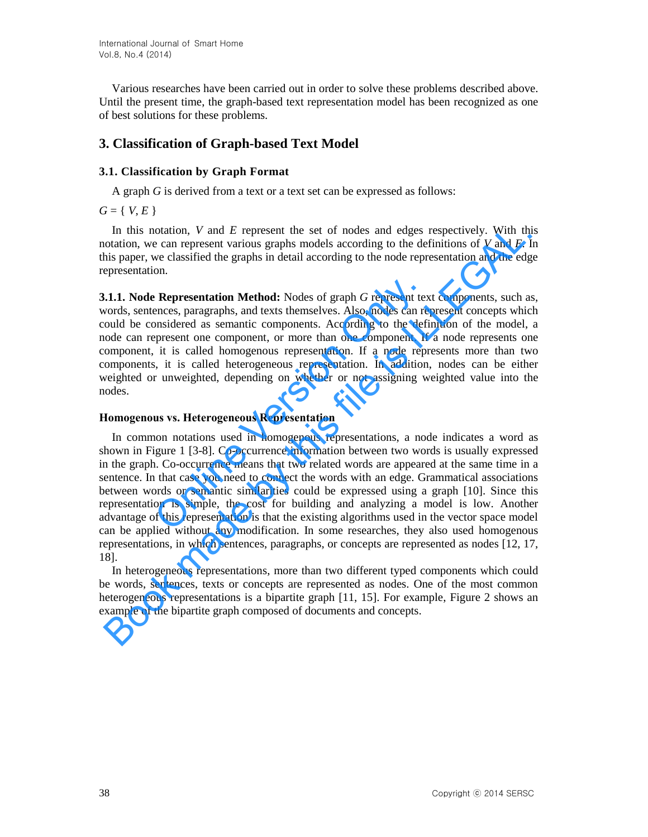Various researches have been carried out in order to solve these problems described above. Until the present time, the graph-based text representation model has been recognized as one of best solutions for these problems.

# **3. Classification of Graph-based Text Model**

## **3.1. Classification by Graph Format**

A graph *G* is derived from a text or a text set can be expressed as follows:

 $G = \{ V, E \}$ 

In this notation, *V* and *E* represent the set of nodes and edges respectively. With this notation, we can represent various graphs models according to the definitions of *V* and *E*. In this paper, we classified the graphs in detail according to the node representation and the edge representation.

**3.1.1. Node Representation Method:** Nodes of graph *G* represent text components, such as, words, sentences, paragraphs, and texts themselves. Also, nodes can represent concepts which could be considered as semantic components. According to the definition of the model, a node can represent one component, or more than one component. If a node represents one component, it is called homogenous representation. If a node represents more than two components, it is called heterogeneous representation. In addition, nodes can be either weighted or unweighted, depending on whether or not assigning weighted value into the nodes. **Example 18**<br> **Representation Method:** Nodes of graph *G* represent texences, paragraphs, and texts themselves. Also, nodes can remosidered as semantic components. According to the defigures<br>
impresent one component, or mo

### **Homogenous vs. Heterogeneous Representation**

In common notations used in homogenous representations, a node indicates a word as shown in Figure 1 [3-8]. Co-occurrence information between two words is usually expressed in the graph. Co-occurrence means that two related words are appeared at the same time in a sentence. In that case you need to connect the words with an edge. Grammatical associations between words or semantic similarities could be expressed using a graph [10]. Since this representation is simple, the cost for building and analyzing a model is low. Another advantage of this representation is that the existing algorithms used in the vector space model can be applied without any modification. In some researches, they also used homogenous representations, in which sentences, paragraphs, or concepts are represented as nodes [12, 17, 18]. In this notation,  $V$  and  $E$  represent the set of nodes and edges respectively. With this notation, we can represent various graphs models according to the definitions of  $V$  and  $E$ .<br>In is paper, we classified the graph

In heterogeneous representations, more than two different typed components which could be words, sentences, texts or concepts are represented as nodes. One of the most common heterogeneous representations is a bipartite graph [11, 15]. For example, Figure 2 shows an example of the bipartite graph composed of documents and concepts.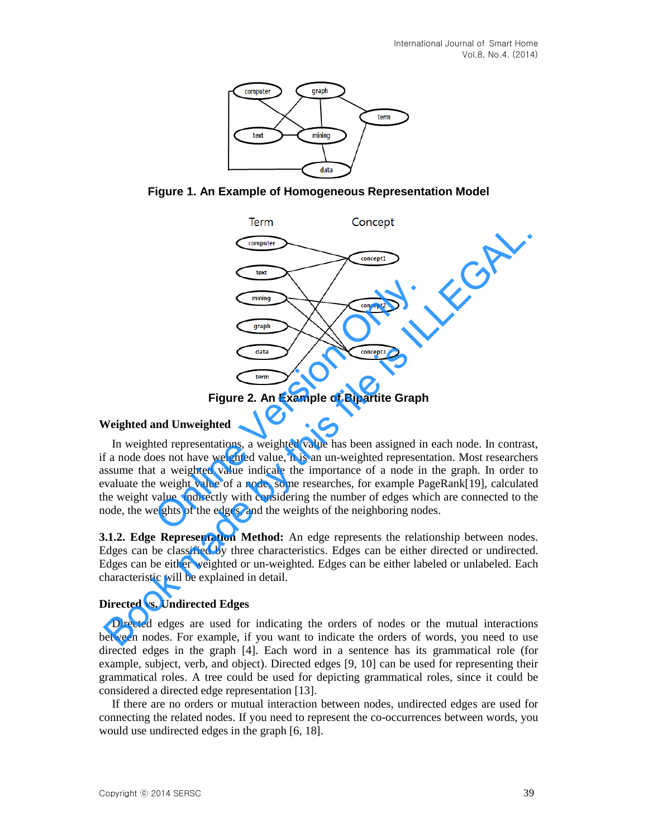





**Figure 2. An Example of Bipartite Graph** 

### **Weighted and Unweighted**

In weighted representations, a weighted value has been assigned in each node. In contrast, if a node does not have weighted value, it is an un-weighted representation. Most researchers assume that a weighted value indicate the importance of a node in the graph. In order to evaluate the weight value of a node, some researches, for example PageRank[19], calculated the weight value indirectly with considering the number of edges which are connected to the node, the weights of the edges, and the weights of the neighboring nodes. Thinking<br>
Thinking<br>
The Concept3<br>
Tigure 2. An Example of Bipartite Graph<br>
Tigure 2. An Example of Bipartite Graph<br>
Ind Unweighted<br>
ted representations, a weighted value has been assigned in<br>
tes not have weighted value, i Concept:<br>
Concept:<br>
Concept:<br>
Concept:<br>
Concept:<br>
Concept:<br>
Concept:<br>
Concept:<br>
Concept:<br>
Concept:<br>
Concept:<br>
Concept:<br>
Concept:<br>
Concept:<br>
Concept:<br>
Concept:<br>
Concept:<br>
Concept:<br>
Concept:<br>
Concept:<br>
Concept:<br>
Concept:<br>
Co

**3.1.2. Edge Representation Method:** An edge represents the relationship between nodes. Edges can be classified by three characteristics. Edges can be either directed or undirected. Edges can be either weighted or un-weighted. Edges can be either labeled or unlabeled. Each characteristic will be explained in detail.

### **Directed vs. Undirected Edges**

Directed edges are used for indicating the orders of nodes or the mutual interactions between nodes. For example, if you want to indicate the orders of words, you need to use directed edges in the graph [4]. Each word in a sentence has its grammatical role (for example, subject, verb, and object). Directed edges [9, 10] can be used for representing their grammatical roles. A tree could be used for depicting grammatical roles, since it could be considered a directed edge representation [13].

If there are no orders or mutual interaction between nodes, undirected edges are used for connecting the related nodes. If you need to represent the co-occurrences between words, you would use undirected edges in the graph [6, 18].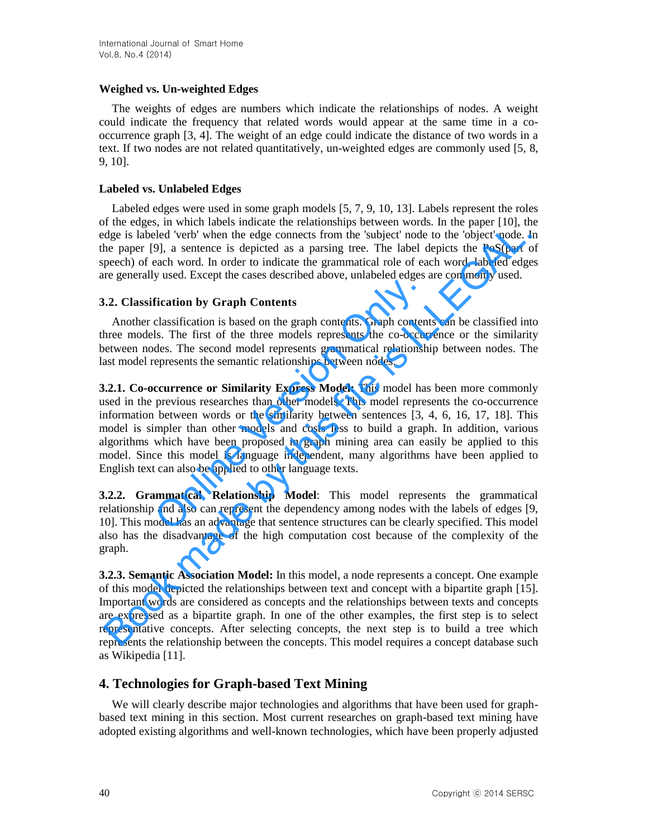## **Weighed vs. Un-weighted Edges**

The weights of edges are numbers which indicate the relationships of nodes. A weight could indicate the frequency that related words would appear at the same time in a cooccurrence graph [3, 4]. The weight of an edge could indicate the distance of two words in a text. If two nodes are not related quantitatively, un-weighted edges are commonly used [5, 8, 9, 10].

## **Labeled vs. Unlabeled Edges**

Labeled edges were used in some graph models [5, 7, 9, 10, 13]. Labels represent the roles of the edges, in which labels indicate the relationships between words. In the paper [10], the edge is labeled 'verb' when the edge connects from the 'subject' node to the 'object' node. In the paper [9], a sentence is depicted as a parsing tree. The label depicts the PoS(part of speech) of each word. In order to indicate the grammatical role of each word, labeled edges are generally used. Except the cases described above, unlabeled edges are commonly used.

# **3.2. Classification by Graph Contents**

Another classification is based on the graph contents. Graph contents can be classified into three models. The first of the three models represents the co-occurrence or the similarity between nodes. The second model represents grammatical relationship between nodes. The last model represents the semantic relationships between nodes.

**3.2.1. Co-occurrence or Similarity Express Model:** This model has been more commonly used in the previous researches than other models. This model represents the co-occurrence information between words or the similarity between sentences [3, 4, 6, 16, 17, 18]. This model is simpler than other models and costs less to build a graph. In addition, various algorithms which have been proposed in graph mining area can easily be applied to this model. Since this model is language independent, many algorithms have been applied to English text can also be applied to other language texts. Fication by Graph Contents<br>classification is based on the graph contents. Graph contents<br>ls. The first of the three models represents the co-occur-<br>des. The second model represents grammatical relationsh<br>epresents the sema is also as the simulation and the simulation of the sample in the paper in the paper in the paper in the paper in the paper in the paper in the paper in the paper in the paper in the paper in the paper in the paper in the

**3.2.2. Grammatical Relationship Model**: This model represents the grammatical relationship and also can represent the dependency among nodes with the labels of edges [9, 10]. This model has an advantage that sentence structures can be clearly specified. This model also has the disadvantage of the high computation cost because of the complexity of the graph.

**3.2.3. Semantic Association Model:** In this model, a node represents a concept. One example of this model depicted the relationships between text and concept with a bipartite graph [15]. Important words are considered as concepts and the relationships between texts and concepts are expressed as a bipartite graph. In one of the other examples, the first step is to select representative concepts. After selecting concepts, the next step is to build a tree which represents the relationship between the concepts. This model requires a concept database such as Wikipedia [11].

# **4. Technologies for Graph-based Text Mining**

We will clearly describe major technologies and algorithms that have been used for graphbased text mining in this section. Most current researches on graph-based text mining have adopted existing algorithms and well-known technologies, which have been properly adjusted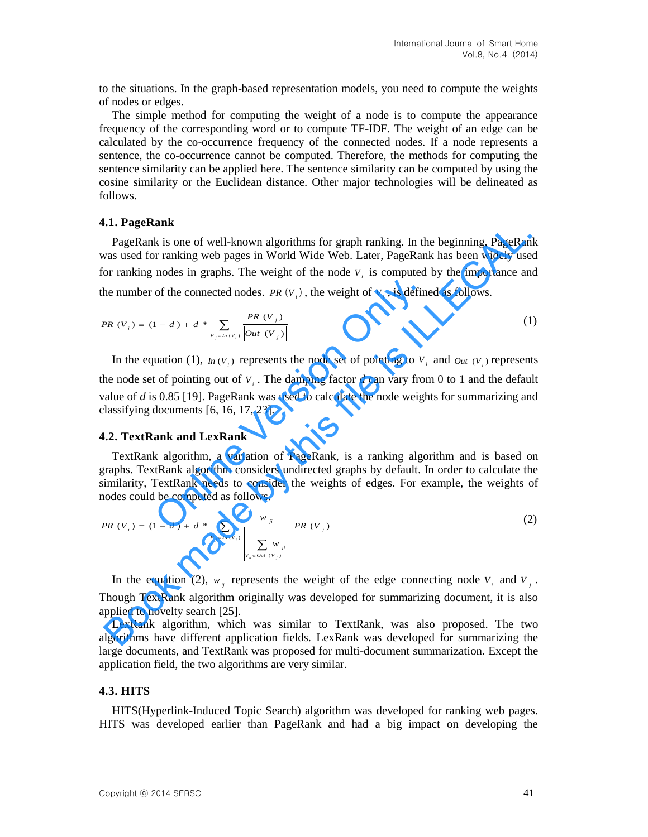to the situations. In the graph-based representation models, you need to compute the weights of nodes or edges.

The simple method for computing the weight of a node is to compute the appearance frequency of the corresponding word or to compute TF-IDF. The weight of an edge can be calculated by the co-occurrence frequency of the connected nodes. If a node represents a sentence, the co-occurrence cannot be computed. Therefore, the methods for computing the sentence similarity can be applied here. The sentence similarity can be computed by using the cosine similarity or the Euclidean distance. Other major technologies will be delineated as follows.

#### **4.1. PageRank**

PageRank is one of well-known algorithms for graph ranking. In the beginning, PageRank was used for ranking web pages in World Wide Web. Later, PageRank has been widely used for ranking nodes in graphs. The weight of the node  $V_i$  is computed by the importance and the number of the connected nodes. *PR*  $(V_i)$ , the weight of  $V_i$ , is defined as follows.

$$
PR(V_i) = (1 - d) + d * \sum_{V_j \in In(V_i)} \frac{PR(V_j)}{|Out(V_j)|}
$$
 (1)

In the equation (1),  $\ln(V_i)$  represents the node set of pointing to  $V_i$  and  $\omega_{tt}(V_i)$  represents the node set of pointing out of  $V_i$ . The damping factor  $d$  can vary from 0 to 1 and the default value of *d* is 0.85 [19]. PageRank was used to calculate the node weights for summarizing and classifying documents [6, 16, 17, 23]. of the connected nodes. PR  $(V_i)$ , the weight of  $V_i$ , is defined  $(1 - d) + d * \sum_{V_i \in In(V_i)} \frac{PR(V_j)}{|Out(V_j)|}$ <br>
uation (1),  $In(V_i)$  represents the node set of pointing to  $V_i$ <br>
to f pointing out of  $V_i$ . The damping factor d can vary **Example 10**<br> **Example 10**<br> **Example 10**<br> **Example 10**<br> **Example 10**<br> **Example 10**<br> **Example 10**<br> **Example 10**<br> **Example is ILLEGAL TO THE INDUSE TO A TOMOTHE AND WE UP AND RESPONSE ON THE PROPERTIES THE VALUE OF**  $V_i$ **, is** 

### **4.2. TextRank and LexRank**

TextRank algorithm, a variation of PageRank, is a ranking algorithm and is based on graphs. TextRank algorithm considers undirected graphs by default. In order to calculate the similarity, TextRank needs to consider the weights of edges. For example, the weights of nodes could be computed as follows.

$$
PR\ (V_{i}) = (1 - d) + d * \sum_{V_{j} \in ln(V_{i})} \frac{w_{ji}}{\left|\sum_{V_{k} \in Out(V_{j})} w_{jk}\right|} PR\ (V_{j})
$$
 (2)

In the equation (2),  $w_{ij}$  represents the weight of the edge connecting node  $V_i$  and  $V_j$ . Though TextRank algorithm originally was developed for summarizing document, it is also applied to novelty search [25].

LexRank algorithm, which was similar to TextRank, was also proposed. The two algorithms have different application fields. LexRank was developed for summarizing the large documents, and TextRank was proposed for multi-document summarization. Except the application field, the two algorithms are very similar.

#### **4.3. HITS**

HITS(Hyperlink-Induced Topic Search) algorithm was developed for ranking web pages. HITS was developed earlier than PageRank and had a big impact on developing the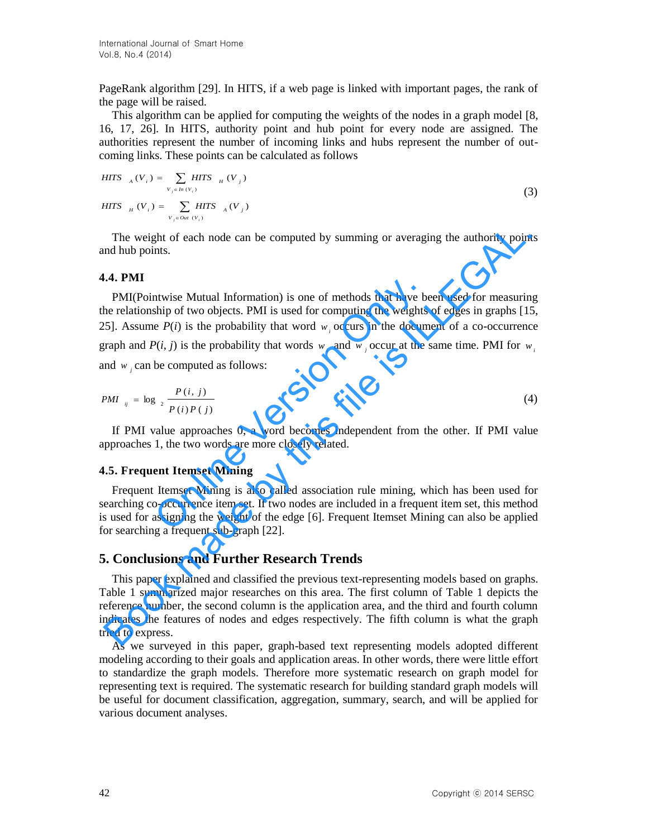PageRank algorithm [29]. In HITS, if a web page is linked with important pages, the rank of the page will be raised.

This algorithm can be applied for computing the weights of the nodes in a graph model [8, 16, 17, 26]. In HITS, authority point and hub point for every node are assigned. The authorities represent the number of incoming links and hubs represent the number of outcoming links. These points can be calculated as follows

$$
HITS_{A}(V_{i}) = \sum_{V_{j} \in In(V_{i})} HITS_{H}(V_{j})
$$
\n
$$
HITS_{H}(V_{i}) = \sum_{V_{j} \in Out(V_{i})} HITS_{A}(V_{j})
$$
\n
$$
(3)
$$

The weight of each node can be computed by summing or averaging the authority points and hub points.

#### **4.4. PMI**

PMI(Pointwise Mutual Information) is one of methods that have been used for measuring the relationship of two objects. PMI is used for computing the weights of edges in graphs [15, 25]. Assume  $P(i)$  is the probability that word  $w_i$  occurs in the document of a co-occurrence graph and  $P(i, j)$  is the probability that words  $w_i$  and  $w_j$  occur at the same time. PMI for  $w_i$ and  $w_j$  can be computed as follows: ntwise Mutual Information) is one of methods that have be<br>ship of two objects. PMI is used for computing the weights<br>e  $P(i)$  is the probability that words  $w_i$  occurs in the docum<br> $P(i, j)$  is the probability that words  $w_i$ The weight of each node can be computed by summing or averaging the authority point<br>
1.4. PMI<br>
PMI(Pointwise Mutual Information) is one of methods that have been used for measurin<br>
PMI(Pointwise Mutual Information) is one

$$
PMI_{ij} = \log_2 \frac{P(i, j)}{P(i)P(j)} \tag{4}
$$

If PMI value approaches 0, a word becomes independent from the other. If PMI value approaches 1, the two words are more closely related.

#### **4.5. Frequent Itemset Mining**

Frequent Itemset Mining is also called association rule mining, which has been used for searching co-occurrence item set. If two nodes are included in a frequent item set, this method is used for assigning the weight of the edge [6]. Frequent Itemset Mining can also be applied for searching a frequent sub-graph [22].

### **5. Conclusions and Further Research Trends**

This paper explained and classified the previous text-representing models based on graphs. Table 1 summarized major researches on this area. The first column of Table 1 depicts the reference number, the second column is the application area, and the third and fourth column indicates the features of nodes and edges respectively. The fifth column is what the graph tried to express.

As we surveyed in this paper, graph-based text representing models adopted different modeling according to their goals and application areas. In other words, there were little effort to standardize the graph models. Therefore more systematic research on graph model for representing text is required. The systematic research for building standard graph models will be useful for document classification, aggregation, summary, search, and will be applied for various document analyses.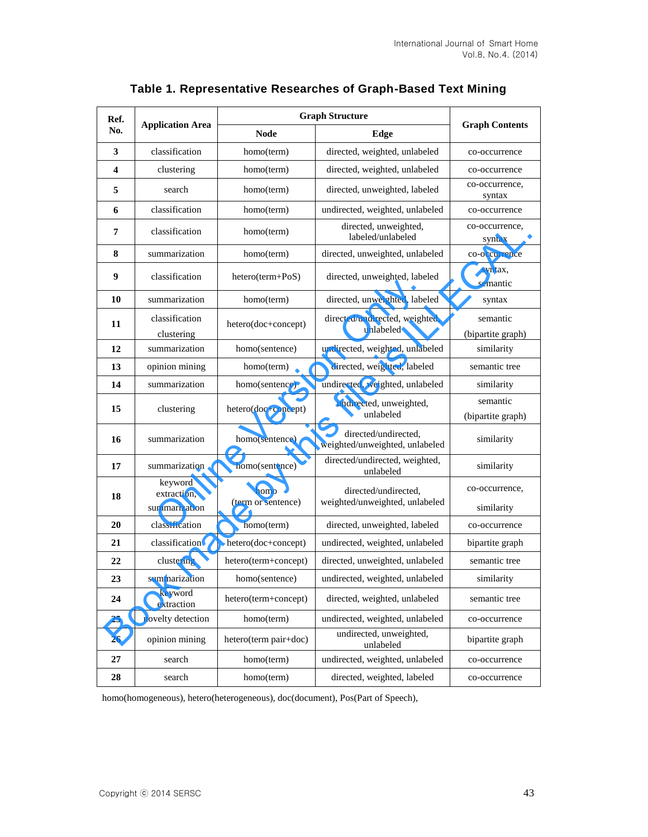| Ref.<br>No.             | <b>Application Area</b>                 | <b>Graph Structure</b>     |                                                        |                               |
|-------------------------|-----------------------------------------|----------------------------|--------------------------------------------------------|-------------------------------|
|                         |                                         | <b>Node</b>                | Edge                                                   | <b>Graph Contents</b>         |
| 3                       | classification                          | homo(term)                 | directed, weighted, unlabeled                          | co-occurrence                 |
| $\overline{\mathbf{4}}$ | clustering                              | homo(term)                 | directed, weighted, unlabeled                          | co-occurrence                 |
| 5                       | search                                  | homo(term)                 | directed, unweighted, labeled                          | co-occurrence,<br>syntax      |
| 6                       | classification                          | homo(term)                 | undirected, weighted, unlabeled                        | co-occurrence                 |
| 7                       | classification                          | homo(term)                 | directed, unweighted,<br>labeled/unlabeled             | co-occurrence,<br>syntax      |
| 8                       | summarization                           | homo(term)                 | directed, unweighted, unlabeled                        | co-occurrence                 |
| 9                       | classification                          | $hetero(term+PoS)$         | directed, unweighted, labeled                          | syntax,<br>semantic           |
| 10                      | summarization                           | homo(term)                 | directed, unweighted, labeled                          | syntax                        |
| 11                      | classification<br>clustering            | hetero(doc+concept)        | directed/undirected, weighted,<br>unlabeled            | semantic<br>(bipartite graph) |
| 12                      | summarization                           | homo(sentence)             | undirected, weighted, unlabeled                        | similarity                    |
| 13                      | opinion mining                          | homo(term)                 | directed, weighted, labeled                            | semantic tree                 |
| 14                      | summarization                           | homo(sentence)             | undirected, weighted, unlabeled                        | similarity                    |
| 15                      | clustering                              | hetero(doc+concept)        | undirected, unweighted,<br>unlabeled                   | semantic<br>(bipartite graph) |
| 16                      | summarization                           | homo(sentence)             | directed/undirected,<br>weighted/unweighted, unlabeled | similarity                    |
| 17                      | summarization                           | homo(sentence)             | directed/undirected, weighted,<br>unlabeled            | similarity                    |
| 18                      | keyword<br>extraction,<br>summarization | homo<br>(term or sentence) | directed/undirected,<br>weighted/unweighted, unlabeled | co-occurrence,<br>similarity  |
| 20                      | classification                          | homo(term)                 | directed, unweighted, labeled                          | co-occurrence                 |
| 21                      | classification                          | hetero(doc+concept)        | undirected, weighted, unlabeled                        | bipartite graph               |
| 22                      | clustering                              | hetero(term+concept)       | directed, unweighted, unlabeled                        | semantic tree                 |
| 23                      | summarization                           | homo(sentence)             | undirected, weighted, unlabeled                        | similarity                    |
| 24                      | keyword<br>extraction                   | hetero(term+concept)       | directed, weighted, unlabeled                          | semantic tree                 |
| 25                      | novelty detection                       | homo(term)                 | undirected, weighted, unlabeled                        | co-occurrence                 |
| 26                      | opinion mining                          | hetero(term pair+doc)      | undirected, unweighted,<br>unlabeled                   | bipartite graph               |
| 27                      | search                                  | homo(term)                 | undirected, weighted, unlabeled                        | co-occurrence                 |
| 28                      | search                                  | homo(term)                 | directed, weighted, labeled                            | co-occurrence                 |

# **Table 1. Representative Researches of Graph-Based Text Mining**

homo(homogeneous), hetero(heterogeneous), doc(document), Pos(Part of Speech),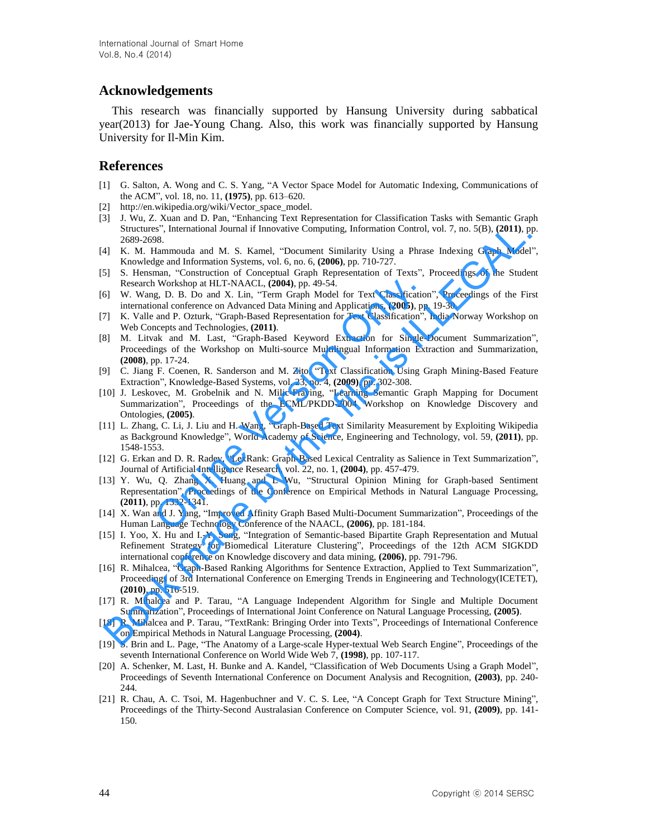# **Acknowledgements**

This research was financially supported by Hansung University during sabbatical year(2013) for Jae-Young Chang. Also, this work was financially supported by Hansung University for Il-Min Kim.

### **References**

- [1] G. Salton, A. Wong and C. S. Yang, "A Vector Space Model for Automatic Indexing, Communications of the ACM", vol. 18, no. 11, **(1975)**, pp. 613–620.
- [2] [http://en.wikipedia.org/wiki/Vector\\_space\\_model.](http://en.wikipedia.org/wiki/Vector_space_model)
- [3] J. Wu, Z. Xuan and D. Pan, "Enhancing Text Representation for Classification Tasks with Semantic Graph Structures", International Journal if Innovative Computing, Information Control, vol. 7, no. 5(B), **(2011)**, pp. 2689-2698.
- [4] K. M. Hammouda and M. S. Kamel, "Document Similarity Using a Phrase Indexing Graph Model", Knowledge and Information Systems, vol. 6, no. 6, **(2006)**, pp. 710-727.
- [5] S. Hensman, "Construction of Conceptual Graph Representation of Texts", Proceedings of the Student Research Workshop at HLT-NAACL, **(2004)**, pp. 49-54.
- [6] W. Wang, D. B. Do and X. Lin, "Term Graph Model for Text Classification", Proceedings of the First international conference on Advanced Data Mining and Applications, **(2005)**, pp. 19-30.
- [7] K. Valle and P. Ozturk, "Graph-Based Representation for Text Classification", India-Norway Workshop on Web Concepts and Technologies, **(2011)**.
- [8] M. Litvak and M. Last, "Graph-Based Keyword Extraction for Single-Document Summarization", Proceedings of the Workshop on Multi-source Multilingual Information Extraction and Summarization, **(2008)**, pp. 17-24. I Workshop at HLT-NAACL, (2004), pp. 49-54.<br>
g, D. B. Do and X. Lin, "Term Graph Model for Text Classification<br>
and Cnference on Advanced Data Mining and Applications, (2005), pp. and P. Ozturk, "Graph-Based Representation
- [9] C. Jiang F. Coenen, R. Sanderson and M. Zito, "Text Classification Using Graph Mining-Based Feature Extraction", Knowledge-Based Systems, vol. 23, no. 4, **(2009)**, pp. 302-308.
- [10] J. Leskovec, M. Grobelnik and N. Milic-Fraying, "Learning Semantic Graph Mapping for Document Summarization", Proceedings of the ECML/PKDD-2004 Workshop on Knowledge Discovery and Ontologies, **(2005)**.
- [11] L. Zhang, C. Li, J. Liu and H. Wang, "Graph-Based Text Similarity Measurement by Exploiting Wikipedia as Background Knowledge", World Academy of Science, Engineering and Technology, vol. 59, **(2011)**, pp. 1548-1553.
- [12] G. Erkan and D. R. Radev, "LexRank: Graph-Based Lexical Centrality as Salience in Text Summarization", Journal of Artificial Intelligence Research, vol. 22, no. 1, **(2004)**, pp. 457-479.
- [13] Y. Wu, Q. Zhang X. Huang and L Wu, "Structural Opinion Mining for Graph-based Sentiment Representation", Proceedings of the Conference on Empirical Methods in Natural Language Processing, **(2011)**, pp. 1332-1341.
- [14] X. Wan and J. Yang, "Improved Affinity Graph Based Multi-Document Summarization", Proceedings of the Human Language Technology Conference of the NAACL, **(2006)**, pp. 181-184.
- [15] I. Yoo, X. Hu and I.-Y. Song, "Integration of Semantic-based Bipartite Graph Representation and Mutual Refinement Strategy for Biomedical Literature Clustering", Proceedings of the 12th ACM SIGKDD international conference on Knowledge discovery and data mining, **(2006)**, pp. 791-796.
- [16] R. Mihalcea, "Graph-Based Ranking Algorithms for Sentence Extraction, Applied to Text Summarization", Proceedings of 3rd International Conference on Emerging Trends in Engineering and Technology(ICETET), **(2010)**, pp. 516-519. Structures'', Intensional Journal if Innovative Computing, Information Control, vol. 7, no. 5(B), (2011), p)<br>
K. M. Hammouds and M. S. Kannel. "Document Similarity Using a Phrase Indexing Graph Model<br>
K. M. Hammouds and M.
- [17] R. Mihalcea and P. Tarau, "A Language Independent Algorithm for Single and Multiple Document Summarization", Proceedings of International Joint Conference on Natural Language Processing, **(2005)**.
- [18] R. Mihalcea and P. Tarau, "TextRank: Bringing Order into Texts", Proceedings of International Conference on Empirical Methods in Natural Language Processing, **(2004)**.
- [19] S. Brin and L. Page, "The Anatomy of a Large-scale Hyper-textual Web Search Engine", Proceedings of the seventh International Conference on World Wide Web 7, **(1998)**, pp. 107-117.
- [20] A. Schenker, M. Last, H. Bunke and A. Kandel, "Classification of Web Documents Using a Graph Model", Proceedings of Seventh International Conference on Document Analysis and Recognition, **(2003)**, pp. 240- 244.
- [21] R. Chau, A. C. Tsoi, M. Hagenbuchner and V. C. S. Lee, "A Concept Graph for Text Structure Mining", Proceedings of the Thirty-Second Australasian Conference on Computer Science, vol. 91, **(2009)**, pp. 141- 150.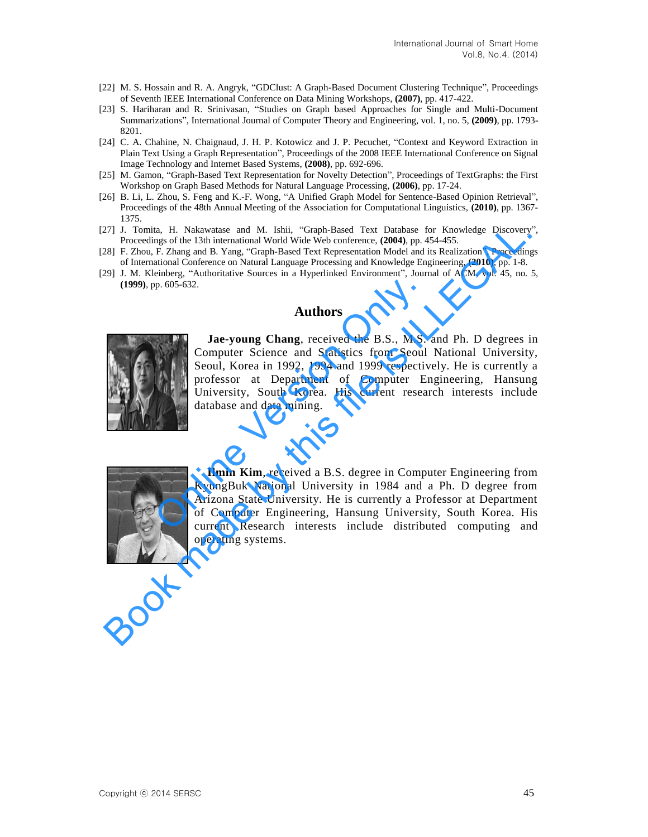- [22] M. S. Hossain and R. A. Angryk, "GDClust: A Graph-Based Document Clustering Technique", Proceedings of Seventh IEEE International Conference on Data Mining Workshops, **(2007)**, pp. 417-422.
- [23] S. Hariharan and R. Srinivasan, "Studies on Graph based Approaches for Single and Multi-Document Summarizations", International Journal of Computer Theory and Engineering, vol. 1, no. 5, **(2009)**, pp. 1793- 8201.
- [24] C. A. Chahine, N. Chaignaud, J. H. P. Kotowicz and J. P. Pecuchet, "Context and Keyword Extraction in Plain Text Using a Graph Representation", Proceedings of the 2008 IEEE International Conference on Signal Image Technology and Internet Based Systems, **(2008)**, pp. 692-696.
- [25] M. Gamon, "Graph-Based Text Representation for Novelty Detection", Proceedings of TextGraphs: the First Workshop on Graph Based Methods for Natural Language Processing, **(2006)**, pp. 17-24.
- [26] B. Li, L. Zhou, S. Feng and K.-F. Wong, "A Unified Graph Model for Sentence-Based Opinion Retrieval", Proceedings of the 48th Annual Meeting of the Association for Computational Linguistics, **(2010)**, pp. 1367- 1375.
- [27] J. Tomita, H. Nakawatase and M. Ishii, "Graph-Based Text Database for Knowledge Discovery", Proceedings of the 13th international World Wide Web conference, **(2004)**, pp. 454-455.
- [28] F. Zhou, F. Zhang and B. Yang, "Graph-Based Text Representation Model and its Realization", Proceedings of International Conference on Natural Language Processing and Knowledge Engineering, **(2010)**, pp. 1-8.
- [29] J. M. Kleinberg, "Authoritative Sources in a Hyperlinked Environment", Journal of ACM, vol. 45, no. 5, **(1999)**, pp. 605-632.

## **Authors**



**Jae-young Chang**, received the B.S., M.S. and Ph. D degrees in Computer Science and Statistics from Seoul National University, Seoul, Korea in 1992, 1994 and 1999 respectively. He is currently a professor at Department of Computer Engineering, Hansung University, South Korea. His current research interests include database and data mining. Authors<br>
Dung Chang, received the B.S., M.S.<br>
Ir Science and Statistics from Seoul<br>
orea in 1992, 1994 and 1999 respective<br>
the Department of Computer Eity, South Korea. His current resear<br>
and data mining. The This Makewates and M. Ishii. "Graph-Basel Test Dutahne for Knowledge Discovery<br>
Proceedings of the 13th international World Wide Web conference, (2004), pp. 454-455.<br>
28] F. Zhou, F. Zhang and N. Yangh-Based Text Repre



**Ilmin Kim**, received a B.S. degree in Computer Engineering from KyungBuk National University in 1984 and a Ph. D degree from Arizona State University. He is currently a Professor at Department of Computer Engineering, Hansung University, South Korea. His current Research interests include distributed computing and **Ilmin Kim**<br>
KyungBuk N<br>
Arizona State<br>
of Computer<br>
current Rese operating systems.